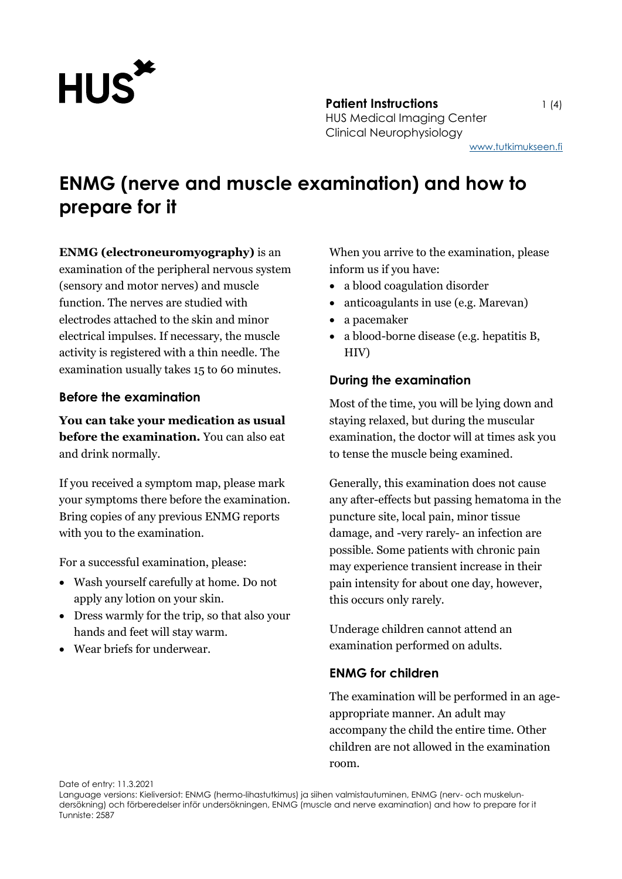

**Patient Instructions** 1 (4) HUS Medical Imaging Center Clinical Neurophysiology [www.tutkimukseen.fi](http://www.tutkimukseen.fi/)

# **ENMG (nerve and muscle examination) and how to prepare for it**

**ENMG (electroneuromyography)** is an examination of the peripheral nervous system (sensory and motor nerves) and muscle function. The nerves are studied with electrodes attached to the skin and minor electrical impulses. If necessary, the muscle activity is registered with a thin needle. The examination usually takes 15 to 60 minutes.

# **Before the examination**

**You can take your medication as usual before the examination.** You can also eat and drink normally.

If you received a symptom map, please mark your symptoms there before the examination. Bring copies of any previous ENMG reports with you to the examination.

For a successful examination, please:

- Wash yourself carefully at home. Do not apply any lotion on your skin.
- Dress warmly for the trip, so that also your hands and feet will stay warm.
- Wear briefs for underwear.

When you arrive to the examination, please inform us if you have:

- a blood coagulation disorder
- anticoagulants in use (e.g. Marevan)
- a pacemaker
- a blood-borne disease (e.g. hepatitis B, HIV)

# **During the examination**

Most of the time, you will be lying down and staying relaxed, but during the muscular examination, the doctor will at times ask you to tense the muscle being examined.

Generally, this examination does not cause any after-effects but passing hematoma in the puncture site, local pain, minor tissue damage, and -very rarely- an infection are possible. Some patients with chronic pain may experience transient increase in their pain intensity for about one day, however, this occurs only rarely.

Underage children cannot attend an examination performed on adults.

## **ENMG for children**

The examination will be performed in an ageappropriate manner. An adult may accompany the child the entire time. Other children are not allowed in the examination room.

Date of entry: 11.3.2021

Language versions: Kieliversiot: ENMG (hermo-lihastutkimus) ja siihen valmistautuminen, ENMG (nerv- och muskelundersökning) och förberedelser inför undersökningen, ENMG (muscle and nerve examination) and how to prepare for it Tunniste: 2587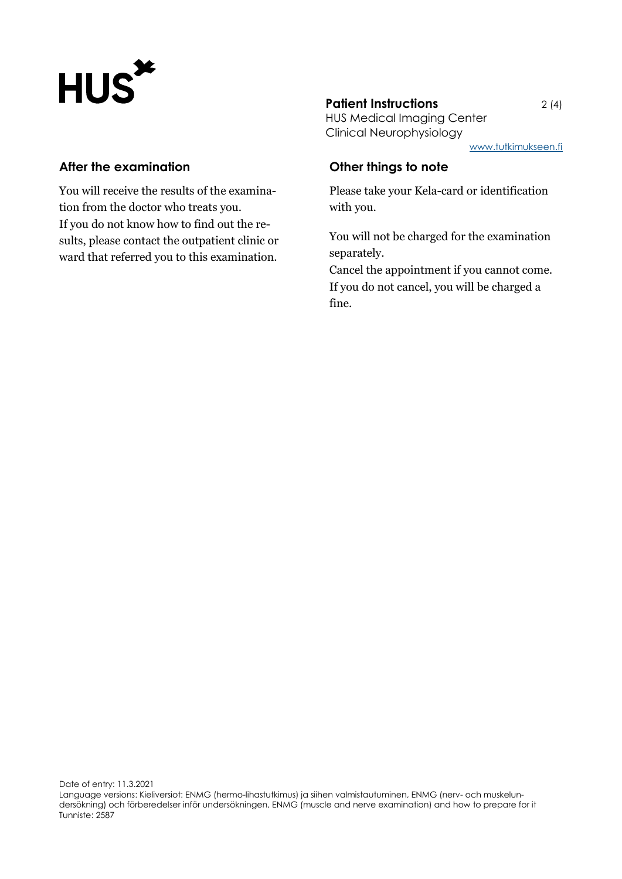# HUS\*

#### **After the examination**

You will receive the results of the examination from the doctor who treats you. If you do not know how to find out the results, please contact the outpatient clinic or ward that referred you to this examination.

## **Patient Instructions** 2(4)

HUS Medical Imaging Center Clinical Neurophysiology

[www.tutkimukseen.fi](http://www.tutkimukseen.fi/)

#### **Other things to note**

Please take your Kela-card or identification with you.

You will not be charged for the examination separately.

Cancel the appointment if you cannot come. If you do not cancel, you will be charged a fine.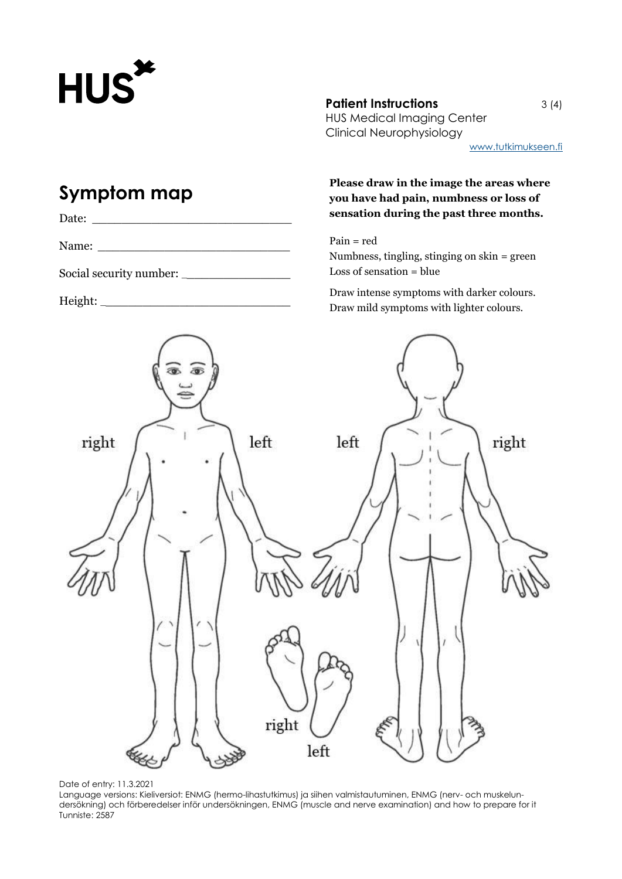

#### **Patient Instructions** 3 (4)

HUS Medical Imaging Center Clinical Neurophysiology

[www.tutkimukseen.fi](http://www.tutkimukseen.fi/)

# **Symptom map**

| Date |  |  |
|------|--|--|
|      |  |  |

Name: \_\_\_\_\_\_\_\_\_\_\_\_\_\_\_\_\_\_\_\_\_\_\_\_\_\_

Social security number: \_\_\_\_\_\_\_\_\_\_\_\_\_\_\_

 $Height:$ 

#### **Please draw in the image the areas where you have had pain, numbness or loss of sensation during the past three months.**

Pain = red Numbness, tingling, stinging on skin = green Loss of sensation = blue

Draw intense symptoms with darker colours. Draw mild symptoms with lighter colours.





Language versions: Kieliversiot: ENMG (hermo-lihastutkimus) ja siihen valmistautuminen, ENMG (nerv- och muskelundersökning) och förberedelser inför undersökningen, ENMG (muscle and nerve examination) and how to prepare for it Tunniste: 2587